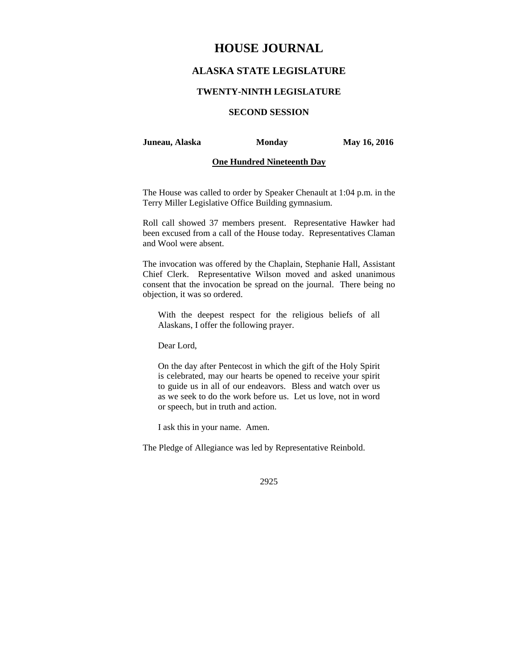# **HOUSE JOURNAL**

## **ALASKA STATE LEGISLATURE**

#### **TWENTY-NINTH LEGISLATURE**

## **SECOND SESSION**

#### **Juneau, Alaska Monday May 16, 2016**

#### **One Hundred Nineteenth Day**

The House was called to order by Speaker Chenault at 1:04 p.m. in the Terry Miller Legislative Office Building gymnasium.

Roll call showed 37 members present. Representative Hawker had been excused from a call of the House today. Representatives Claman and Wool were absent.

The invocation was offered by the Chaplain, Stephanie Hall, Assistant Chief Clerk. Representative Wilson moved and asked unanimous consent that the invocation be spread on the journal. There being no objection, it was so ordered.

With the deepest respect for the religious beliefs of all Alaskans, I offer the following prayer.

Dear Lord,

On the day after Pentecost in which the gift of the Holy Spirit is celebrated, may our hearts be opened to receive your spirit to guide us in all of our endeavors. Bless and watch over us as we seek to do the work before us. Let us love, not in word or speech, but in truth and action.

I ask this in your name. Amen.

The Pledge of Allegiance was led by Representative Reinbold.

2925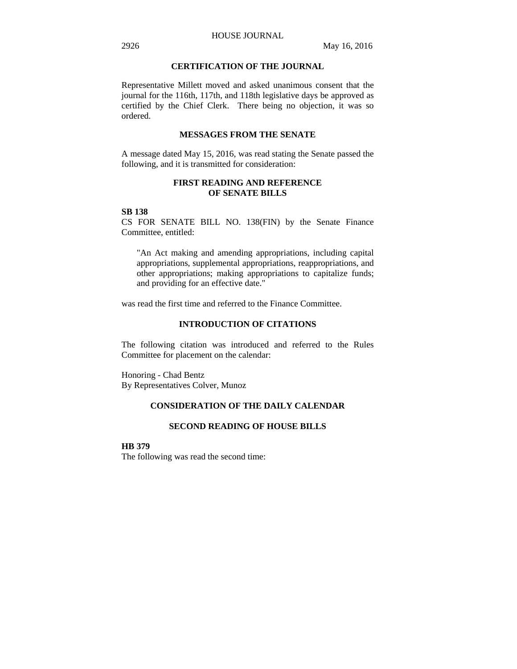### **CERTIFICATION OF THE JOURNAL**

Representative Millett moved and asked unanimous consent that the journal for the 116th, 117th, and 118th legislative days be approved as certified by the Chief Clerk. There being no objection, it was so ordered.

## **MESSAGES FROM THE SENATE**

A message dated May 15, 2016, was read stating the Senate passed the following, and it is transmitted for consideration:

### **FIRST READING AND REFERENCE OF SENATE BILLS**

#### **SB 138**

CS FOR SENATE BILL NO. 138(FIN) by the Senate Finance Committee, entitled:

"An Act making and amending appropriations, including capital appropriations, supplemental appropriations, reappropriations, and other appropriations; making appropriations to capitalize funds; and providing for an effective date."

was read the first time and referred to the Finance Committee.

#### **INTRODUCTION OF CITATIONS**

The following citation was introduced and referred to the Rules Committee for placement on the calendar:

Honoring - Chad Bentz By Representatives Colver, Munoz

## **CONSIDERATION OF THE DAILY CALENDAR**

#### **SECOND READING OF HOUSE BILLS**

**HB 379** 

The following was read the second time: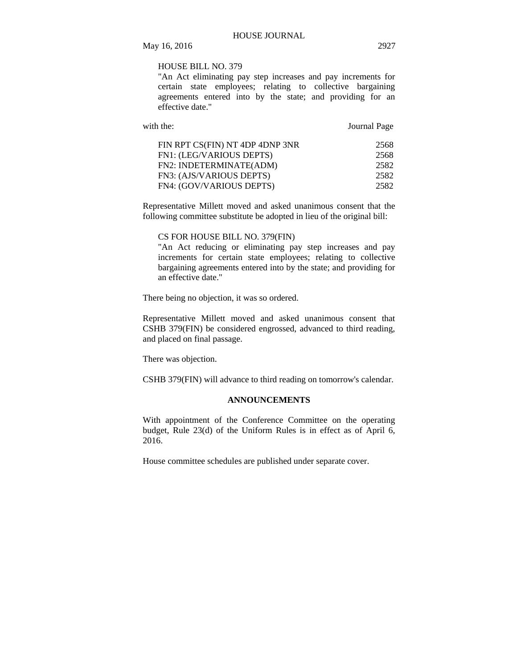### HOUSE BILL NO. 379

"An Act eliminating pay step increases and pay increments for certain state employees; relating to collective bargaining agreements entered into by the state; and providing for an effective date."

| with the:                       | Journal Page |
|---------------------------------|--------------|
| FIN RPT CS(FIN) NT 4DP 4DNP 3NR | 2568         |
| FN1: (LEG/VARIOUS DEPTS)        | 2568         |
| FN2: INDETERMINATE(ADM)         | 2582         |
| FN3: (AJS/VARIOUS DEPTS)        | 2582         |
| FN4: (GOV/VARIOUS DEPTS)        | 2582         |

Representative Millett moved and asked unanimous consent that the following committee substitute be adopted in lieu of the original bill:

## CS FOR HOUSE BILL NO. 379(FIN)

"An Act reducing or eliminating pay step increases and pay increments for certain state employees; relating to collective bargaining agreements entered into by the state; and providing for an effective date."

There being no objection, it was so ordered.

Representative Millett moved and asked unanimous consent that CSHB 379(FIN) be considered engrossed, advanced to third reading, and placed on final passage.

There was objection.

CSHB 379(FIN) will advance to third reading on tomorrow's calendar.

## **ANNOUNCEMENTS**

With appointment of the Conference Committee on the operating budget, Rule 23(d) of the Uniform Rules is in effect as of April 6, 2016.

House committee schedules are published under separate cover.